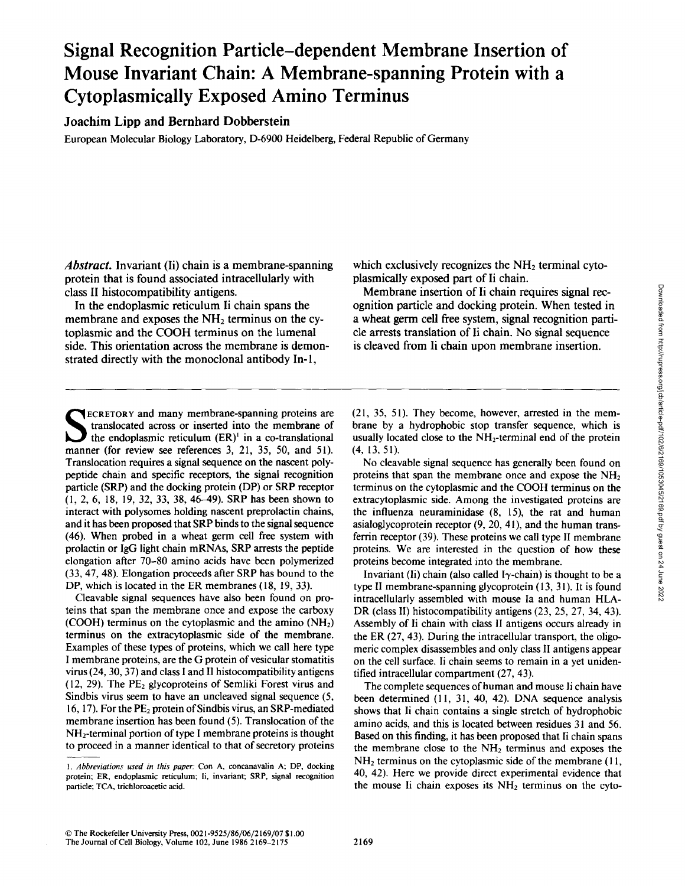# **Signal Recognition Particle-dependent Membrane Insertion of Mouse Invariant Chain: A Membrane-spanning Protein with a Cytoplasmically Exposed Amino Terminus**

Joachim Lipp and Bernhard Dobberstein

European Molecular Biology Laboratory, D-6900 Heidelberg, Federal Republic of Germany

*Abstract.* Invariant (Ii) chain is a membrane-spanning protein that is found associated intracellularly with class II histocompatibility antigens.

In the endoplasmic reticulum Ii chain spans the membrane and exposes the  $NH<sub>2</sub>$  terminus on the cytoplasmic and the COOH terminus on the lumenal side. This orientation across the membrane is demonstrated directly with the monoclonal antibody In-l,

**~** ECRETORY and many membrane-spanning proteins are translocated across or inserted into the membrane of the endoplasmic reticulum  $(ER)^1$  in a co-translational manner (for review see references 3, 21, 35, 50, and 51). Translocation requires a signal sequence on the nascent polypeptide chain and specific receptors, the signal recognition particle (SRP) and the docking protein (DP) or SRP receptor (1, 2, 6, 18, 19, 32, 33, 38, 46-49). SRP has been shown to interact with polysomes holding nascent preprolactin chains, and it has been proposed that SRP binds to the signal sequence (46). When probed in a wheat germ cell free system with prolactin or IgG light chain mRNAs, SRP arrests the peptide elongation after 70-80 amino acids have been polymerized (33, 47, 48). Elongation proceeds after SRP has bound to the DP, which is located in the ER membranes (18, 19, 33).

Cleavable signal sequences have also been found on proteins that span the membrane once and expose the carboxy (COOH) terminus on the cytoplasmic and the amino  $(NH<sub>2</sub>)$ terminus on the extracytoplasmic side of the membrane. Examples of these types of proteins, which we call here type I membrane proteins, are the G protein of vesicular stomatitis virus (24, 30, 37) and class I and II histocompatibility antigens  $(12, 29)$ . The PE<sub>2</sub> glycoproteins of Semliki Forest virus and Sindbis virus seem to have an uncleaved signal sequence (5, 16, 17). For the  $PE<sub>2</sub>$  protein of Sindbis virus, an SRP-mediated membrane insertion has been found (5). Translocation of the NH2-terminal portion of type I membrane proteins is thought to proceed in a manner identical to that of secretory proteins which exclusively recognizes the  $NH<sub>2</sub>$  terminal cytoplasmically exposed part of Ii chain.

Membrane insertion of Ii chain requires signal recognition particle and docking protein. When tested in a wheat germ cell free system, signal recognition particle arrests translation of Ii chain. No signal sequence is cleaved from Ii chain upon membrane insertion.

(21, 35, 51). They become, however, arrested in the membrane by a hydrophobic stop transfer sequence, which is usually located close to the  $NH<sub>2</sub>$ -terminal end of the protein (4, 13, 51).

No cleavable signal sequence has generally been found on proteins that span the membrane once and expose the  $NH<sub>2</sub>$ terminus on the cytoplasmic and the COOH terminus on the extracytoplasmic side. Among the investigated proteins are the influenza neuraminidase (8, 15), the rat and human asialoglycoprotein receptor (9, 20, 41), and the human transferrin receptor (39). These proteins we call type II membrane proteins. We are interested in the question of how these proteins become integrated into the membrane.

Invariant (Ii) chain (also called I $\gamma$ -chain) is thought to be a type II membrane-spanning glycoprotein (13, 31). It is found intracellularly assembled with mouse Ia and human HLA-DR (class II) histocompatibility antigens (23, 25, 27, 34, 43). Assembly of li chain with class II antigens occurs already in the ER (27, 43). During the intracellular transport, the oligomeric complex disassembles and only class II antigens appear on the cell surface, li chain seems to remain in a yet unidentified intracellular compartment (27, 43).

The complete sequences of human and mouse Ii chain have been determined (11, 31, 40, 42). DNA sequence analysis shows that Ii chain contains a single stretch of hydrophobic amino acids, and this is located between residues 31 and 56. Based on this finding, it has been proposed that Ii chain spans the membrane close to the  $NH<sub>2</sub>$  terminus and exposes the  $NH<sub>2</sub>$  terminus on the cytoplasmic side of the membrane (11, 40, 42). Here we provide direct experimental evidence that the mouse li chain exposes its  $NH<sub>2</sub>$  terminus on the cyto-

<sup>1.</sup> Abbreviations used in this paper: Con A, concanavalin A; DP, docking protein; ER, endoplasmic reticulum; li, invariant; SRP, signal recognition particle; TCA, trichloroacetic acid.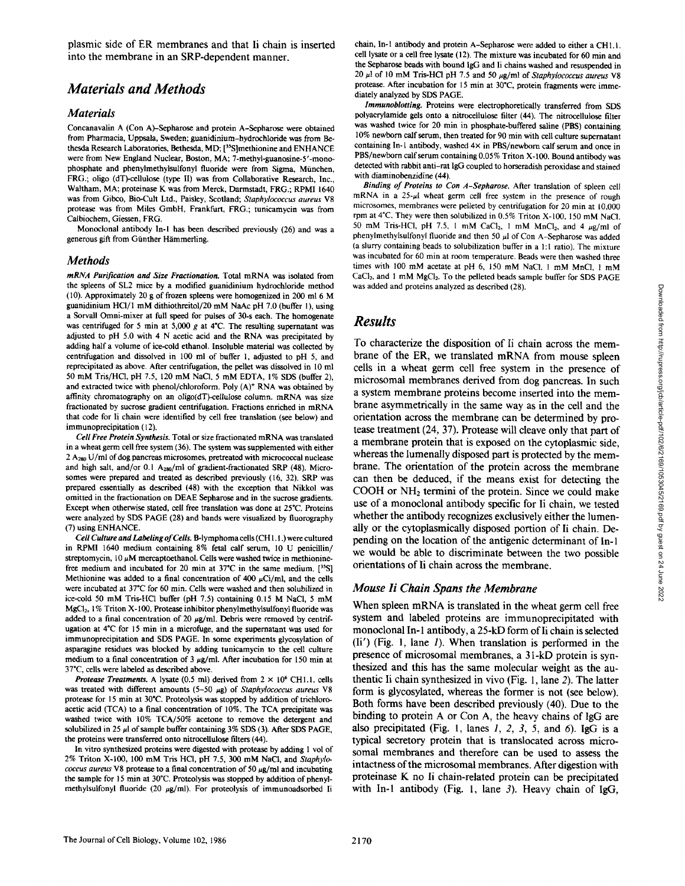plasmic side of ER membranes and that Ii chain is inserted into the membrane in an SRP-dependent manner.

## *Materials and Methods*

#### *Materials*

Concanavalin A (Con A)-Sepharose and protein A-Sepharose were obtained from Pharmacia, Uppsala, Sweden; guanidinium-hydrochloride was from Bethesda Research Laboratories, Bethesda, MD; [<sup>35</sup>S]methionine and ENHANCE were from New England Nuclear, Boston, MA; 7-methyl-guanosine-5'-monophosphate and phenylmethylsulfonyl fluoride were from Sigma, München, FRG.; oligo (dT)-cellulose (type II) was from Collaborative Research, Inc., Waltham, MA; proteinase K was from Merck, Darmstadt, FRG.; RPMI 1640 was from Gibco, Bio-Cult Ltd., Paisley, Scotland; *Staphylococcus aureus* V8 protease was from Miles GmbH, Frankfurt, FRG.; tunicamycin was from Calbiochem, Giessen, FRG.

Monoclonal antibody In-l has been described previously (26) and was a generous gift from Günther Hämmerling.

#### *Methods*

*mRNA Purification and Size Fractionation.* Total mRNA was isolated from the spleens of SL2 mice by a modified guanidinium hydrochloride method (10). Approximately 20 g of frozen spleens were homogenized in 200 ml 6 M guanidinium HCI/1 mM dithiothreitol/20 mM NaAc pH 7.0 (buffer I), using a Sorvall Omni-mixer at full speed for pulses of 30-s each. The homogenate was centrifuged for 5 min at 5,000 g at 4°C. The resulting supernatant was adjusted to pH 5.0 with 4 N acetic acid and the RNA was precipitated by adding half a volume of ice-cold ethanol. Insoluble material was collected by centrifugation and dissolved in 100 ml of buffer 1, adjusted to pH 5, and reprecipitated as above. After centrifugation, the pellet was dissolved in 10 ml 50 mM Tris/HCl, pH 7.5, 120 mM NaCl, 5 mM EDTA, 1% SDS (buffer 2), and extracted twice with phenol/chloroform. Poly (A)<sup>+</sup> RNA was obtained by affinity chromatography on an *oligo(dT)-cellulose* column, mRNA was size fractionated by sucrose gradient centrifugation. Fractions enriched in mRNA that code for Ii chain were identified by cell free translation (see below) and immunoprecipitation (12).

*Cell Free Protein Synthesis.* Total or size fractionated mRNA was translated in a wheat germ cell free system (36). The system was supplemented with either  $2$  A<sub>280</sub> U/ml of dog pancreas microsomes, pretreated with micrococcal nuclease and high salt, and/or 0.1  $A_{280}$ /ml of gradient-fractionated SRP (48). Microsomes were prepared and treated as described previously (16, 32). SRP was prepared essentially as described (48) with the exception that Nikkol was omitted in the fractionation on DEAE Sepharose and in the sucrose gradients. Except when otherwise stated, cell free translation was done at 25"C. Proteins were analyzed by SDS PAGE (28) and bands were visualized by fiuorography (7) using ENHANCE.

*Cell Culture and Labeling of Cells.* B-lymphoma cells (CH I. l.) were cultured in RPM1 1640 medium containing 8% fetal calf serum, l0 U penicillin/ streptomycin, 10  $\mu$ M mercaptoethanol. Cells were washed twice in methioninefree medium and incubated for 20 min at 37°C in the same medium.  $[^{35}S]$ Methionine was added to a final concentration of 400  $\mu$ Ci/ml, and the cells were incubated at 37°C for 60 min. Cells were washed and then solubilized in ice-cold 50 mM Tris-HC1 buffer (pH 7.5) containing 0.15 M NaCl, 5 mM MgCl<sub>2</sub>, 1% Triton X-100. Protease inhibitor phenylmethylsulfonyl fluoride was added to a final concentration of 20  $\mu$ g/ml. Debris were removed by centrifugation at 4°C for 15 min in a microfuge, and the supernatant was used for immunoprecipitation and SDS PAGE. In some experiments glycosylation of asparagine residues was blocked by adding tunicamycin to the cell culture medium to a final concentration of 3  $\mu$ g/ml. After incubation for 150 min at 37°C, cells were labeled as described above.

*Protease Treatments.* A lysate  $(0.5 \text{ ml})$  derived from  $2 \times 10^6$  CH1.1. cells was treated with different amounts (5-50 µg) of *Staphylococcus aureus* V8 protease for 15 min at 30"C. Proteolysis was stopped by addition of trichloreacetic acid (TCA) to a final concentration of 10%. The TCA precipitate was washed twice with 10% TCA/50% acetone to remove the detergent and solubilized in 25  $\mu$ l of sample buffer containing 3% SDS (3). After SDS PAGE, the proteins were transferred onto nitrocellulose filters (44).

In vitro synthesized proteins were digested with protease by adding 1 vol of 2% Triton X-100, 100 mM Tris HCI, oH 7.5, 300 mM NaCI, and *Staphylococcus aureus* V8 protease to a final concentration of 50  $\mu$ g/ml and incubating the sample for 15 min at 30°C. Proteolysis was stopped by addition of phenylmethylsulfonyl fluoride (20  $\mu$ g/ml). For proteolysis of immunoadsorbed Ii chain, In-1 antibody and protein A-Sepharose were added to either a CH1.1. cell lysate or a cell free lysate (12). The mixture was incubated for 60 min and the Sepharose beads with bound IgG and Ii chains washed and resuspended in 20  $\mu$ l of 10 mM Tris-HCl pH 7.5 and 50  $\mu$ g/ml of *Staphylococcus aureus* V8 protease. After incubation for 15 min at 30°C, protein fragments were immediately analyzed by SDS PAGE.

*lmmunoblotting.* Proteins were electrophoretically transferred from SDS polyacrylamide gels onto a nitrocellulose filter (44). The nitrocellulose filter was washed twice for 20 min in phosphate-buffered saline (PBS) containing 10% newborn calf serum, then treated for 90 min with cell culture supernatant containing In-1 antibody, washed 4x in PBS/newborn calf serum and once in PBS/newborn calf serum containing 0.05% Triton X-100. Bound antibody was detected with rabbit anti-rat lgG coupled to horseradish peroxidase and stained with diaminobenzidine (44).

*Binding of Proteins to Con A-Sepharose.* After translation of spleen cell mRNA in a  $25-\mu l$  wheat germ cell free system in the presence of rough microsomes, membranes were pelleted by centrifugation for 20 min at 10,000 rpm at 4"C, They were then solubilized in 0.5% Triton X-100, 150 mM NaCI, 50 mM Tris-HCl, pH 7.5, 1 mM CaCl<sub>2</sub>, 1 mM MnCl<sub>2</sub>, and 4  $\mu$ g/ml of phenylmethylsulfonyl fluoride and then 50  $\mu$ l of Con A-Sepharose was added (a slurry containing beads to solubilization buffer in a 1:1 ratio). The mixture was incubated for 60 min at room temperature. Beads were then washed three times with 100 mM acetate at pH 6, 150 mM NaCl, 1 mM MnCl, 1 mM CaCl<sub>2</sub>, and 1 mM MgCl<sub>2</sub>. To the pelleted beads sample buffer for SDS PAGE was added and proteins analyzed as described (28).

# *Results*

To characterize the disposition of Ii chain across the membrane of the ER, we translated mRNA from mouse spleen cells in a wheat germ cell free system in the presence of microsomal membranes derived from dog pancreas. In such a system membrane proteins become inserted into the membrane asymmetrically in the same way as in the cell and the orientation across the membrane can be determined by protease treatment (24, 37). Protease will cleave only that part of a membrane protein that is exposed on the cytoplasmic side, whereas the lumenally disposed part is protected by the membrane. The orientation of the protein across the membrane can then be deduced, if the means exist for detecting the COOH or NH2 termini of the protein. Since we could make use of a monoclonal antibody specific for Ii chain, we tested whether the antibody recognizes exclusively either the lumenally or the cytoplasmically disposed portion of Ii chain. Depending on the location of the antigenic determinant of In- **1**  we would be able to discriminate between the two possible orientations of Ii chain across the membrane.

#### *Mouse li Chain Spans the Membrane*

**When spleen mRNA is translated in the wheat germ cell free system and labeled proteins are immunoprecipitated with monoclonal In-1 antibody, a 25-kD form of Ii chain is selected (Ii') (Fig. !, lane I). When translation is performed in the presence of microsomal membranes, a 3 l-kD protein is synthesized and this has the same molecular weight as the authentic Ii chain synthesized in vivo (Fig. 1, lane 2). The latter form is glycosylated, whereas the former is not (see below). Both forms have been described previously (40). Due to the binding to protein A or Con A, the heavy chains of IgG are also precipitated (Fig. 1, lanes 1, 2, 3, 5, and 6). IgG is a typical secretory protein that is translocated across microspinal membranes and therefore can be used to assess the intactness of the microsomal membranes. After digestion with proteinase K no Ii chain-related protein can be precipitated with In-1 antibody (Fig. 1, lane 3). Heavy chain of IgG,**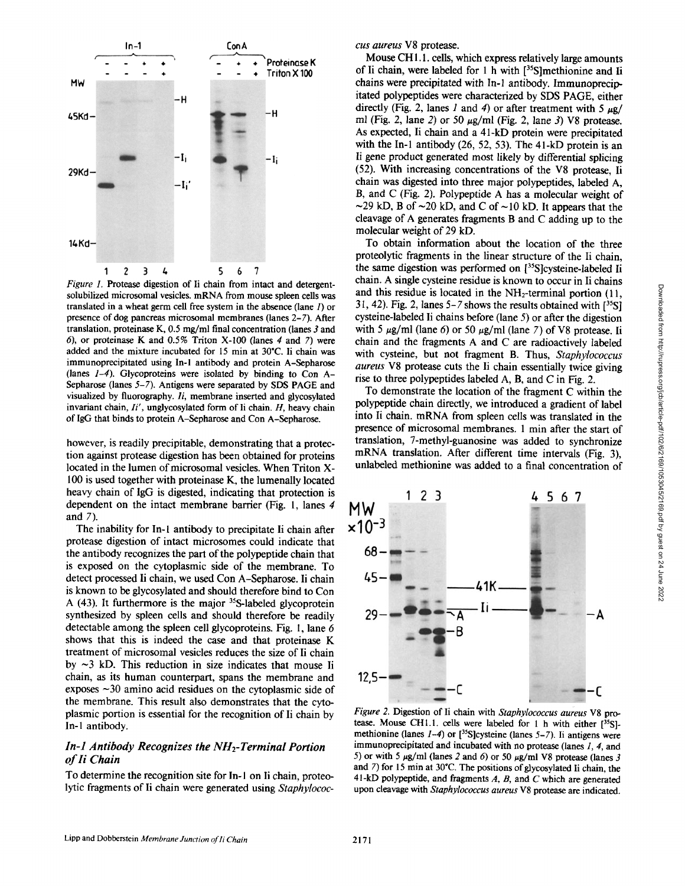

*Figure 1.* Protease digestion of Ii chain from intact and detergentsolubilized microsomal vesicles, mRNA from mouse spleen cells was translated in a wheat germ cell free system in the absence (lane 1) or presence of dog pancreas microsomal membranes (lanes 2-7). After translation, proteinase K, 0.5 mg/ml final concentration (lanes 3 and 6), or proteinase K and  $0.5\%$  Triton X-100 (lanes 4 and 7) were added and the mixture incubated for 15 min at 30°C. Ii chain was immunoprecipitated using In-1 antibody and protein A-Sepharose (lanes *1-4).* Glycoproteins were isolated by binding to Con A-Sepharose (lanes *5-7).* Antigens were separated by SDS PAGE and visualized by fluorography. *Ii,* membrane inserted and glycosylated invariant chain, *li',* unglycosylated form of Ii chain. H, heavy chain of IgG that binds to protein A-Sepharose and Con A-Sepharose.

however, is readily precipitable, demonstrating that a protection against protease digestion has been obtained for proteins located in the lumen of microsomal vesicles. When Triton X-100 is used together with proteinase K, the lumenally located heavy chain of IgG is digested, indicating that protection is dependent on the intact membrane barrier (Fig. l, lanes 4 and 7).

The inability for In-1 antibody to precipitate Ii chain after protease digestion of intact microsomes could indicate that the antibody recognizes the part of the polypeptide chain that is exposed on the cytoplasmic side of the membrane. To detect processed Ii chain, we used Con A-Sepharose. Ii chain is known to be glycosylated and should therefore bind to Con A  $(43)$ . It furthermore is the major <sup>35</sup>S-labeled glycoprotein synthesized by spleen cells and should therefore be readily detectable among the spleen cell glycoproteins. Fig. 1, lane 6 shows that this is indeed the case and that proteinase K treatment of microsomal vesicles reduces the size of Ii chain by  $\sim$ 3 kD. This reduction in size indicates that mouse Ii chain, as its human counterpart, spans the membrane and exposes ~30 amino acid residues on the cytoplasmic side of the membrane. This result also demonstrates that the cytoplasmic portion is essential for the recognition of Ii chain by In-1 antibody.

#### *In-1 Antibody Recognizes the NH<sub>2</sub>-Terminal Portion of Ii Chain*

To determine the recognition site for In- 1 on Ii chain, proteolytic fragments of Ii chain were generated using *Staphylococ-* *cus aureus* V8 protease.

Mouse CH 1.1. cells, which express relatively large amounts of Ii chain, were labeled for 1 h with [35S]methionine and Ii chains were precipitated with In-1 antibody. Immunoprecipitated polypeptides were characterized by SDS PAGE, either directly (Fig. 2, lanes 1 and 4) or after treatment with 5  $\mu$ g/ ml (Fig. 2, lane 2) or 50  $\mu$ g/ml (Fig. 2, lane 3) V8 protease. As expected, Ii chain and a 41-kD protein were precipitated with the In-1 antibody (26, 52, 53). The 41-kD protein is an Ii gene product generated most likely by differential splicing (52). With increasing concentrations of the V8 protease, Ii chain was digested into three major polypeptides, labeled A, B, and C (Fig. 2). Polypeptide A has a molecular weight of  $\sim$ 29 kD, B of  $\sim$ 20 kD, and C of  $\sim$ 10 kD. It appears that the cleavage of A generates fragments B and C adding up to the molecular weight of 29 kD.

To obtain information about the location of the three proteolytic fragments in the linear structure of the Ii chain, the same digestion was performed on [35S]cysteine-labeled Ii chain. A single cysteine residue is known to occur in Ii chains and this residue is located in the  $NH<sub>2</sub>$ -terminal portion (11, 31, 42). Fig. 2, lanes  $5-7$  shows the results obtained with  $[35]$ cysteine-labeled Ii chains before (lane 5) or after the digestion with 5  $\mu$ g/ml (lane 6) or 50  $\mu$ g/ml (lane 7) of V8 protease. Ii chain and the fragments A and C are radioactively labeled with cysteine, but not fragment B. Thus, *Staphylococcus aureus* V8 protease cuts the Ii chain essentially twice giving rise to three polypeptides labeled A, B, and C in Fig. 2.

To demonstrate the location of the fragment C within the polypeptide chain directly, we introduced a gradient of label into Ii chain, mRNA from spleen cells was translated in the presence of microsomal membranes. 1 min after the start of translation, 7-methyl-guanosine was added to synchronize mRNA translation. After different time intervals (Fig. 3), unlabeled methionine was added to a final concentration of



*Figure 2.* Digestion of Ii chain with *Staphylococcus aureus* V8 protease. Mouse CHI.I. cells were labeled for 1 h with either [35S] methionine (lanes *1-4*) or [<sup>35</sup>S]cysteine (lanes 5-7). Ii antigens were immunoprecipitated and incubated with no protease (lanes  $1, 4$ , and 5) or with 5  $\mu$ g/ml (lanes 2 and 6) or 50  $\mu$ g/ml V8 protease (lanes 3 and  $7$ ) for 15 min at 30 $^{\circ}$ C. The positions of glycosylated Ii chain, the 41-kD polypeptide, and fragments  $A$ ,  $B$ , and  $C$  which are generated upon cleavage with *Staphylococcus aureus* V8 protease are indicated,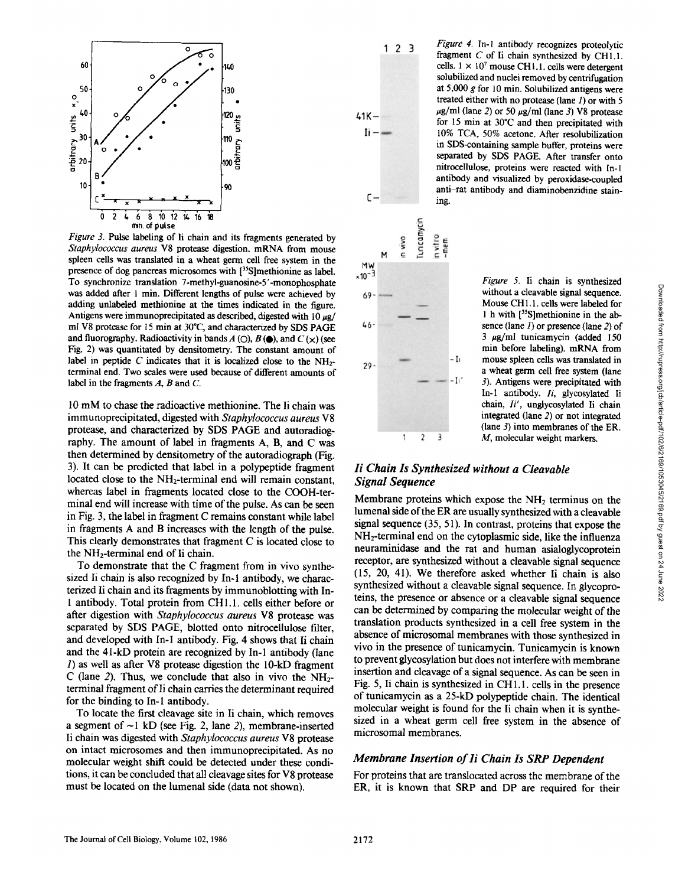

*Figure* 3. Pulse labeling of Ii chain and its fragments generated by *Staphylococcus aureus* V8 protease digestion, mRNA from mouse spleen cells was translated in a wheat germ cell free system in the presence of dog pancreas microsomes with [<sup>35</sup>S]methionine as label. To synchronize translation 7-methyl-guanosine-5'-monophosphate was added after 1 min. Different lengths of pulse were achieved by adding unlabeled methionine at the times indicated in the figure. Antigens were immunoprecipitated as described, digested with  $10 \mu g$ / ml V8 protease for 15 min at 30°C, and characterized by SDS PAGE and fluorography. Radioactivity in bands  $A$  (O),  $B$  ( $\bullet$ ), and  $C$  ( $\times$ ) (see Fig. 2) was quantitated by densitometry. The constant amount of label in peptide C indicates that it is localized close to the  $NH_{2-}$ terminal end. Two scales were used because of different amounts of label in the fragments  $A$ ,  $B$  and  $C$ .

10 mM to chase the radioactive methionine. The Ii chain was immunoprecipitated, digested with *Staphylococcus aureus* V8 protease, and characterized by SDS PAGE and autoradiography. The amount of label in fragments A, B, and C was then determined by densitometry of the autoradiograph (Fig. 3). It can be predicted that label in a polypeptide fragment located close to the NH<sub>2</sub>-terminal end will remain constant, whereas label in fragments located close to the COOH-terminal end will increase with time of the pulse. As can be seen in Fig. 3, the label in fragment C remains constant while label in fragments A and B increases with the length of the pulse. This clearly demonstrates that fragment C is located close to the NH2-terminal end of Ii chain.

To demonstrate that the C fragment from in vivo synthesized Ii chain is also recognized by In-1 antibody, we characterized Ii chain and its fragments by immunoblotting with In-1 antibody. Total protein from CH 1.1. cells either before or after digestion with *Staphylococcus aureus* V8 protease was separated by SDS PAGE, blotted onto nitrocellulose filter, and developed with In-I antibody. Fig. 4 shows that Ii chain and the 41-kD protein are recognized by In-1 antibody (lane 1) as well as after V8 protease digestion the 10-kD fragment C (lane 2). Thus, we conclude that also in vivo the  $NH_2$ terminal fragment of Ii chain carries the determinant required for the binding to In-1 antibody.

To locate the first cleavage site in Ii chain, which removes a segment of  $\sim$ 1 kD (see Fig. 2, lane 2), membrane-inserted Ii chain was digested with *Staphylococcus aureus* V8 protease on intact microsomes and then immunoprecipitated. As no molecular weight shift could be detected under these conditions, it can be concluded that all cleavage sites for V8 protease must be located on the lumenal side (data not shown).

 $123$  $41K \mathbf{I}$ i –



*Figure 4.* In-I antibody recognizes proteolytic fragment C of li chain synthesized by CHI.I. cells.  $1 \times 10^7$  mouse CH1.1. cells were detergent solubilized and nuclei removed by centrifugation at  $5,000$  g for 10 min. Solubilized antigens were treated either with no protease (lane  $I$ ) or with 5  $\mu$ g/ml (lane 2) or 50  $\mu$ g/ml (lane 3) V8 protease for 15 min at 30"C and then precipitated with 10% TCA, 50% acetone. After resolubilization in SDS-containing sample buffer, proteins were separated by SDS PAGE. After transfer onto nitrocellulose, proteins were reacted with In-I antibody and visualized by peroxidase-coupled anti-rat antibody and diaminobenzidine stain-

> *Figure 5.* Ii chain is synthesized without a cleavable signal sequence. Mouse CH 1.1. cells were labeled for 1 h with [35S]methionine in the absence (lane  $I$ ) or presence (lane  $2$ ) of  $3 \mu g/ml$  tunicamycin (added 150 min before labeling), mRNA from mouse spleen cells was translated in a wheat germ cell free system (lane 3). Antigens were precipitated with In-I antibody, *li,* glycosylated Ii chain, *li',* unglycosylated Ii chain integrated (lane 2) or not integrated (lane 3) into membranes of the ER. M, molecular weight markers.

## *li Chain Is Synthesized without a Cleavable Signal Sequence*

Membrane proteins which expose the  $NH<sub>2</sub>$  terminus on the lumenal side of the ER are usually synthesized with a cleavable signal sequence (35, 51). In contrast, proteins that expose the NH2-terminal end on the cytoplasmic side, like the influenza neuraminidase and the rat and human asialoglycoprotein receptor, are synthesized without a cleavable signal sequence (15, 20, 41). We therefore asked whether Ii chain is also synthesized without a cleavable signal sequence. In glycoproteins, the presence or absence or a cleavable signal sequence can be determined by comparing the molecular weight of the translation products synthesized in a cell free system in the absence of microsomal membranes with those synthesized in vivo in the presence of tunicamycin. Tunicamycin is known to prevent glycosylation but does not interfere with membrane insertion and cleavage of a signal sequence. As can be seen in Fig. 5, Ii chain is synthesized in CH 1.1. cells in the presence of tunicamycin as a 25-kD polypeptide chain. The identical molecular weight is found for the Ii chain when it is synthesized in a wheat germ cell free system in the absence of microsomal membranes.

#### *Membrane Insertion of li Chain Is SRP Dependent*

For proteins that are translocated across the membrane of the ER, it is known that SRP and DP are required for their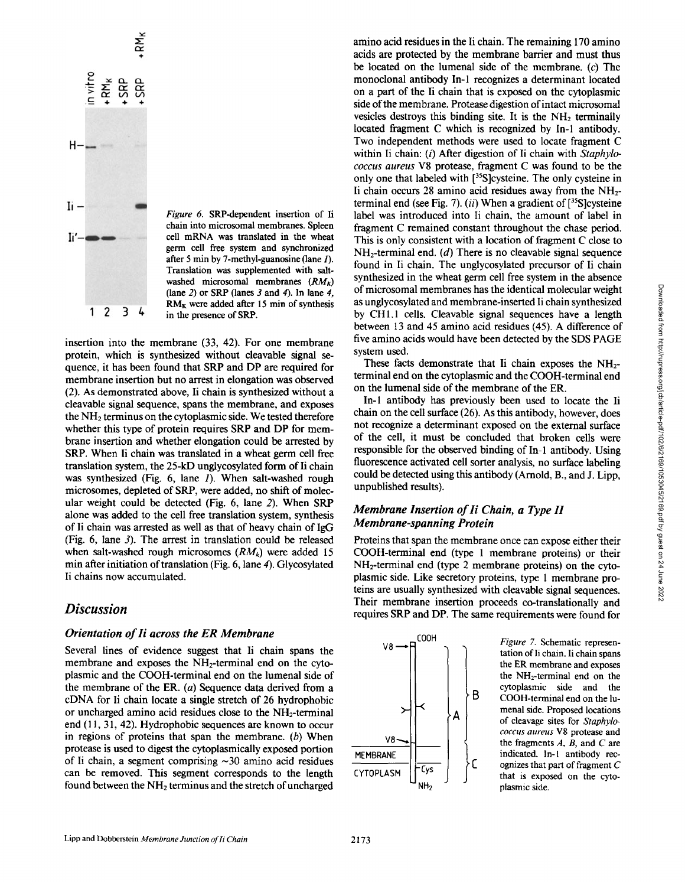

*Figure 6.* SRP-dependent insertion of Ii chain into microsomal membranes. Spleen cell mRNA was translated in the wheat germ cell free system and synchronized after 5 min by 7-methyl-guanosine (lane 1). Translation was supplemented with saltwashed microsomal membranes  $(RM_k)$ (lane 2) or SRP (lanes  $\beta$  and  $\beta$ ). In lane  $\beta$ ,  $RM<sub>K</sub>$  were added after 15 min of synthesis in the presence of SRP.

insertion into the membrane (33, 42). For one membrane protein, which is synthesized without cleavable signal sequence, it has been found that SRP and DP are required for membrane insertion but no arrest in elongation was observed (2). As demonstrated above, Ii chain is synthesized without a cleavable signal sequence, spans the membrane, and exposes the  $NH<sub>2</sub>$  terminus on the cytoplasmic side. We tested therefore whether this type of protein requires SRP and DP for membrane insertion and whether elongation could be arrested by SRP. When Ii chain was translated in a wheat germ cell free translation system, the 25-kD unglycosylated form of Ii chain was synthesized (Fig. 6, lane 1). When salt-washed rough microsomes, depleted of SRP, were added, no shift of molecular weight could be detected (Fig. 6, lane 2). When SRP alone was added to the cell free translation system, synthesis of Ii chain was arrested as well as that of heavy chain of IgG (Fig. 6, lane 3). The arrest in translation could be released when salt-washed rough microsomes  $(RM_k)$  were added 15 min after initiation of translation (Fig. 6, lane 4). Glycosylated Ii chains now accumulated.

## *Discussion*

## *Orientation of Ii across the ER Membrane* **COOKING 2006 COOKING**

Several lines of evidence suggest that Ii chain spans the membrane and exposes the NH<sub>2</sub>-terminal end on the cytoplasmic and the COOH-terminal end on the lumenal side of the membrane of the ER. (a) Sequence data derived from a cDNA for Ii chain locate a single stretch of 26 hydrophobic or uncharged amino acid residues close to the NH<sub>2</sub>-terminal  $\forall$   $\uparrow$   $\downarrow$  A end (11, 31, 42). Hydrophobic sequences are known to occur in regions of proteins that span the membrane. (b) When protease is used to digest the cytoplasmically exposed portion of Ii chain, a segment comprising  $\sim 30$  a protease is used to digest the cytoplasmically exposed portion can be removed. This segment corresponds to the length CYTOPLASM  $\vert \vert^{Cys}$ found between the NH<sub>2</sub> terminus and the stretch of uncharged  $N_{\text{H}_2}$ 

amino acid residues in the Ii chain. The remaining 170 amino acids are protected by the membrane barrier and must thus be located on the lumenal side of the membrane. (c) The monoclonal antibody In-1 recognizes a determinant located on a part of the Ii chain that is exposed on the cytoplasmic side of the membrane. Protease digestion of intact microsomal vesicles destroys this binding site. It is the  $NH<sub>2</sub>$  terminally located fragment C which is recognized by In-l antibody. Two independent methods were used to locate fragment C within Ii chain: (i) After digestion of Ii chain with *Staphylococcus aureus* V8 protease, fragment C was found to be the only one that labeled with [<sup>35</sup>S]cysteine. The only cysteine in Ii chain occurs 28 amino acid residues away from the  $NH<sub>2</sub>$ terminal end (see Fig. 7).  $(ii)$  When a gradient of  $[^{35}S]$ cysteine label was introduced into Ii chain, the amount of label in fragment C remained constant throughout the chase period. This is only consistent with a location of fragment C close to  $NH<sub>2</sub>$ -terminal end. (d) There is no cleavable signal sequence found in Ii chain. The unglycosylated precursor of Ii chain synthesized in the wheat germ cell free system in the absence of microsomal membranes has the identical molecular weight as unglycosylated and membrane-inserted Ii chain synthesized by CHI.1 cells. Cleavable signal sequences have a length between 13 and 45 amino acid residues (45). A difference of five amino acids would have been detected by the SDS PAGE system used.

These facts demonstrate that Ii chain exposes the  $NH<sub>2</sub>$ terminal end on the cytoplasmic and the COOH-terminal end on the lumenal side of the membrane of the ER.

In-1 antibody has previously been used to locate the Ii chain on the cell surface (26). As this antibody, however, does not recognize a determinant exposed on the external surface of the cell, it must be concluded that broken cells were responsible for the observed binding of In- l antibody. Using fluorescence activated cell sorter analysis, no surface labeling could be detected using this antibody (Arnold, B., and J. Lipp, unpublished results).

## *Membrane Insertion of li Chain, a Type H Membrane-spanning Protein*

Proteins that span the membrane once can expose either their COOH-terminal end (type 1 membrane proteins) or their  $NH<sub>2</sub>$ -terminal end (type 2 membrane proteins) on the cytoplasmic side. Like secretory proteins, type 1 membrane proteins are usually synthesized with cleavable signal sequences. Their membrane insertion proceeds co-translationally and requires SRP and DP. The same requirements were found for



*Figure 7.* Schematic representation of Ii chain. Ii chain spans the ER membrane and exposes the NH2-terminal end on the cytoplasmic side and the COOH-terminal end on the lumenal side. Proposed locations of cleavage sites for *Staphylococcus aureus* V8 protease and the fragments  $A$ ,  $B$ , and  $C$  are indicated. In-I antibody recognizes that part of fragment C that is exposed on the cytoplasmic side.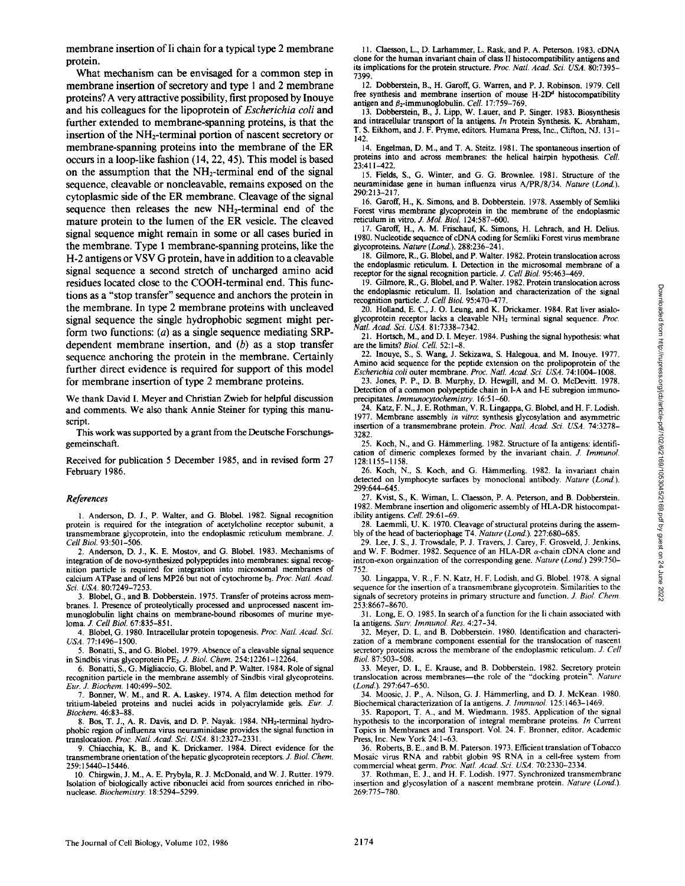**What mechanism can be envisaged for a common step in membrane insertion of secretory and type 1 and 2 membrane proteins? A very attractive possibility, first proposed by Inouye and his colleagues for the lipoprotein of** *Escherichia coli* **and further extended to membrane-spanning proteins, is that the insertion of the NH2-terminal portion of nascent secretory or membrane-spanning proteins into the membrane of the ER occurs in a loop-like fashion (14, 22, 45). This model is based**  on the assumption that the NH<sub>2</sub>-terminal end of the signal **sequence, cleavable or noncleavable, remains exposed on the cytoplasmic side of the ER membrane. Cleavage of the signal sequence then releases the new NH2-terminal end of the mature protein to the lumen of the ER vesicle. The cleaved signal sequence might remain in some or all cases buried in the membrane. Type l membrane-spanning proteins, like the H-2 antigens or VSV G protein, have in addition to a cleavable signal sequence a second stretch of uncharged amino acid residues located close to the COOH-terminal end. This functions as a "stop transfer" sequence and anchors the protein in the membrane. In type 2 membrane proteins with uncleaved signal sequence the single hydrophobic segment might perform two functions: (a) as a single sequence mediating SRPdependent membrane insertion, and (b) as a stop transfer sequence anchoring the protein in the membrane. Certainly further direct evidence is required for support of this model for membrane insertion of type 2 membrane proteins.** 

**We thank David I. Meyer and Christian Zwieb for helpful discussion and comments. We also thank Annie Steiner for typing this manuscript.** 

**This work was supported by a grant from the Deutsche Forschungsgemeinschaft.** 

**Received for publication 5 December 1985, and in revised form 27 February 1986.** 

#### *References*

I. Anderson, D. J., P. Walter, and G. Blobel. 1982. Signal recognition protein is required for the integration of acetylcholine receptor subunit, a transmembrane giycoprotein, into the endoplasmic reticulum membrane. J. *Cell Biol.* 93:501-506.

2. Anderson, D. J., K. E. Mostov, and G. Blobel. 1983. Mechanisms of integration of de novo-synthesized polypeptides into membranes: signal recognition particle is required for integration into microsomal membranes of calcium ATPase and of lens MP26 but not of cytochrome b5. Proc. Natl. Acad. *Sci. USA.* 80:7249-7253.

3. Blobel, G., and B. Dobberstein. 1975. Transfer of proteins across membranes. I. Presence of proteolytically processed and unprocessed nascent immunoglobulin light chains on membrane-bound ribosomes of murine myeloma. *J. Cell Biol.* 67:835-851.

4. Blobel, G. 1980. Intracellular protein topogenesis. *Proc. Natl. Acad Sci. USA.* 77:1496-1500.

5. Bonatti, S., and G. Blobel. 1979. Absence of a cleavable signal sequence in Sindbis virus glycoprotein PE2. J. *Biol. Chem.* 254:12261-12264.

6. Bonatti, S., G. Migliaccio, G. Blobel, and P. Walter. 1984. Role of signal recognition particle in the membrane assembly of Sindbis viral glycoproteins. *Eur..L Biochem.* 140:499-502.

7. Bonner, W. M., and R. A. Laskey. 1974. A film detection method for tritium-labeled proteins and nuclei acids in polyacrylamide gels. *Eur. J. Biochem.* 46:83-88.

8. Bos, T. J., A. R. Davis, and D. P. Nayak. 1984. NH<sub>2</sub>-terminal hydrophobic region of influenza virus neuraminidase provides the signal function in translocafion. *Proc. Natl. Acad Sci. USA.* 81:2327-2331.

9. Chiacchia, K. B., and K. Drickamer. 1984. Direct evidence for the transmembrane orientation of the hepatic glycoprotein receptors. J. *Biol. Chem.*  259:15440-15446.

10. Chirgwin, J. M., A. E. Prybyla, R. J. McDonald, and W. J. Rutter. 1979. Isolation of biologically active ribonuclei acid from sources enriched in ribonuclease. *Biochemistry.* 18:5294-5299.

11. Claesson, L., D. Larhammer, L. Rask, and P. A. Peterson. 1983. cDNA clone for the human invariant chain of class 1I histocompatibility antigens and its implications for the protein structure. *Proc. Natl. Acad Sci. USA.* 80:7395- 7399.

12. Dobberstein, B., H. Garoff, G. Warren, and P. J. Robinson. 1979. Cell free synthesis and membrane insertion of mouse  $H - 2D<sup>d</sup>$  histocompatibility antigen and  $\beta_2$ -immunoglobulin. *Cell.* 17:759-769

13. Dobberstein, B., J. Lipp, W. Lauer, and P. Singer. 1983. Biosynthesis and intracellular transport of Ia antigens. *In* Protein Synthesis. K. Abraham, T. S. Eikhom, and J. F. Pryme, editors. Humana Press, Inc., Clifton, NJ. 131- 142.

14. Engelman, D. M., and T. A. Steitz. 1981. The spontaneous insertion of proteins into and across membranes: the helical hairpin hypothesis. *Cell.*  .<br>23:411-422

15. Fields, S., G. Winter, and G. G. Brownlee. 1981. Structure of the neuraminidase gene in human influenza virus A/PR/8/34. *Nature (Lond.).*  290:213-217.

16. Garoff, H., K. Simons, and B. Dobberstein. 1978. Assembly of Semliki Forest virus membrane glycoprotein in the membrane of the endoplasmic reticulum in vitro. J. *Mot. Biol.* 124:587-600.

17. Garoff, H., A. M. Frisehauf, K. Simons, H. Lehrach, and H. Delius. 1980. Nucleotide sequence of cDNA coding for Semliki Forest virus membrane glycoproteins. *Nature (Lond.).* 288:236-241.

18. Gilmore, R., G. Blobel, and P. Walter. 1982. Protein translocation across the endoplasmic reticulum, i. Detection in the microsomal membrane of a receptor for the signal recognition particle. J. *Cell Biol.* 95:463--469.

19. Gilmore, R., G. Blobel, and P. Walter. 1982. Protein translocation across the endoplasmic reticulum. II. Isolation and characterization of the signal recognition particle. 3". *Cell Biol.* 95:470-477.

20. Holland, E. C., J. O. Leung, and K. Drickamer. 1984. Rat liver asialoglycoprotein receptor lacks a cleavable NH<sub>2</sub> terminal signal sequence. Proc. *Natl. Acad. Sci. USA.* 81:7338-7342.

21. Hortseh, M., and D. I. Meyer. 1984. Pushing the signal hypothesis: what are the limits? *Biol. Cell.* 52:1-8.

22. Inouye, S., S. Wang, J. Sekizawa, S. Halegoua, and M. Inouye. 1977. Amino acid sequence for the peptide extension on the prolipoprotein of the *Escherichia coli* outer membrane. *Proc. Natl. Acad. Sci. USA.* 74:1004--1008.

23. Jones, P. P., D. B. Murphy, D. Hewgill, and M. O. McDevitt. 1978. Detection of a common polypeptide chain in I-A and I-E subregion immunoprecipitates. *Immunoeytoehemistry.* 16:51-60.

24. Katz, F. N., J. E. Rothman, V. R. Lingappa, G. Blobel, and H. F. Lodish. 1977. Membrane assembly *in vitro:* synthesis giycosytation and asymmetric insertion of a transmembrane protein. *Proc. Natl. Acad. Sei. USA.* 74:3278- 3282.

25. Koch, N., and G. Hämmerling. 1982. Structure of Ia antigens: identification of dimeric complexes formed by the invariant chain. *J. Immunol.*  128:1155-1158.

26. Koch, N., S. Koch, and G. Hämmerling. 1982. Ia invariant chain detected on lymphocyte surfaces by monoclonal antibody. *Nature (Lond.).*  299:644-645.

27. Kvist, S., K. Wiman, L. Claesson, P. A. Peterson, and B. Dobberstein. 1982. Membrane insertion and oligomeric assembly of HLA-DR histocompatibility antigens. *Cell.* 29:61-69.

28. Laemmli, U. K. 1970. Cleavage of structural proteins during the assem-

bly of the head of bacteriophage T4. *Nature (Lond.).* 227:680-685. 29. Lee, J. S., J. Trowsdale, P. J. Travers, J. Carey, F. Grosveld, J. Jenkins, and W. F. Bodmer. 1982. Sequence of an HLA-DR  $\alpha$ -chain cDNA clone and intron-exon orgainzation of the corresponding gene. *Nature (Lond.)* 299:750- 752.

30. Lingappa, V. R., F. N. Katz, H. F. Lodish, and G. Blobel. 1978. A signal sequence for the insertion of a transmembrane glycoprotein. Similarities to the signals of secretory proteins in primary structure and function. Z *Biol. Chem.*  253:8667-8670.

31. Long, E. O. 1985. In search of a function for the li chain associated with la antigens. *Surv. Immunol. Res.* 4:27-34.

32. Meyer, D. I., and B. Dobberstein. 1980. Identification and characterization of a membrane component essential for the translocation of nascent secretory proteins across the membrane of the endoplasmic reticulum. *J. Cell Biol.* 87:503-508.

33. Meyer, D. i., E. Krause, and B. Dobberstein. 1982. Secretory protein translocation across membranes-the role of the "docking protein". Nature *(Lond.).* 297:647-650.

34. Moosic, J. P., A. Nilson, G. J. Hämmerling, and D. J. McKean. 1980. Biochemical characterization of Ia antigens. Z *Immunol.* 125:1463-1469.

35. Rapoport, T. A., and M. Wiedmann. 1985. Application of the signal hypothesis to the incorporation of integral membrane proteins. *In* Current Topics in Membranes and Transport. Vol. 24. F. Bronner, editor. Academic Press, Inc. New York 24:1-63.

36. Roberts, B. E., and B. M. Paterson. 1973. Efficient translation of Tobacco Mosaic virus RNA and rabbit globin 9S RNA in a cell-free system from commercial wheat germ. *Proc. Natl. Acad. Sci. USA.* 70:2330-2334.

37. Rothman, E. J., and H. F. Lodish. 1977. Synchronized transmembrane insertion and glycosylation of a nascent membrane protein. *Nature (Lond.).*  269:775-780.

Downloaded from http://rupress.org/jcb/article-pdf/102/6/2169/1053045/2169.pdf by guest on 24 June 2022